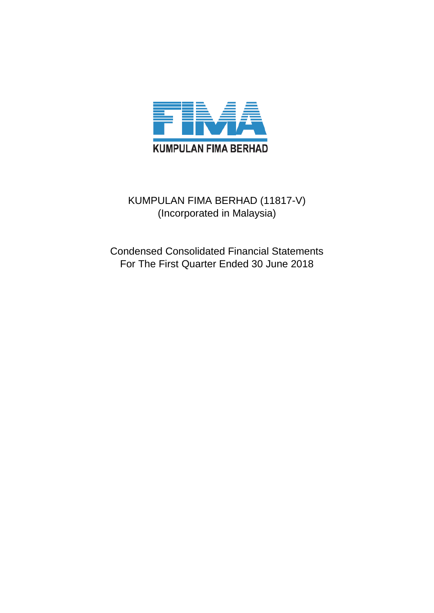

## KUMPULAN FIMA BERHAD (11817-V) (Incorporated in Malaysia)

Condensed Consolidated Financial Statements For The First Quarter Ended 30 June 2018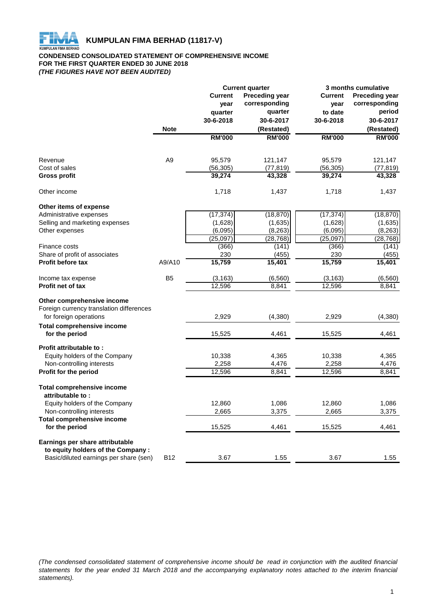

#### **CONDENSED CONSOLIDATED STATEMENT OF COMPREHENSIVE INCOME FOR THE FIRST QUARTER ENDED 30 JUNE 2018** *(THE FIGURES HAVE NOT BEEN AUDITED)*

|                                                          |                |                | <b>Current quarter</b> |                | 3 months cumulative   |
|----------------------------------------------------------|----------------|----------------|------------------------|----------------|-----------------------|
|                                                          |                | <b>Current</b> | <b>Preceding year</b>  | <b>Current</b> | <b>Preceding year</b> |
|                                                          |                | year           | corresponding          | year           | corresponding         |
|                                                          |                | quarter        | quarter                | to date        | period                |
|                                                          |                | 30-6-2018      | 30-6-2017              | 30-6-2018      | 30-6-2017             |
|                                                          | <b>Note</b>    |                | (Restated)             |                | (Restated)            |
|                                                          |                | <b>RM'000</b>  | <b>RM'000</b>          | <b>RM'000</b>  | <b>RM'000</b>         |
| Revenue                                                  | A <sub>9</sub> | 95,579         | 121,147                | 95,579         | 121,147               |
| Cost of sales                                            |                | (56, 305)      | (77, 819)              | (56, 305)      | (77,819)              |
| <b>Gross profit</b>                                      |                | 39,274         | 43,328                 | 39,274         | 43,328                |
| Other income                                             |                | 1,718          | 1,437                  | 1,718          | 1,437                 |
| Other items of expense                                   |                |                |                        |                |                       |
| Administrative expenses                                  |                | (17, 374)      | (18, 870)              | (17, 374)      | (18, 870)             |
| Selling and marketing expenses                           |                | (1,628)        | (1,635)                | (1,628)        | (1,635)               |
| Other expenses                                           |                | (6,095)        | (8, 263)               | (6,095)        | (8, 263)              |
|                                                          |                | (25,097)       | (28, 768)              | (25,097)       | (28, 768)             |
| Finance costs                                            |                | (366)          | (141)                  | (366)          | (141)                 |
| Share of profit of associates                            |                | 230            | (455)                  | 230            | (455)                 |
| <b>Profit before tax</b>                                 | A9/A10         | 15,759         | 15,401                 | 15,759         | 15,401                |
| Income tax expense                                       | B <sub>5</sub> | (3, 163)       | (6, 560)               | (3, 163)       | (6, 560)              |
| <b>Profit net of tax</b>                                 |                | 12,596         | 8,841                  | 12,596         | 8,841                 |
| Other comprehensive income                               |                |                |                        |                |                       |
| Foreign currency translation differences                 |                |                |                        |                |                       |
| for foreign operations                                   |                | 2,929          | (4, 380)               | 2,929          | (4,380)               |
| <b>Total comprehensive income</b><br>for the period      |                | 15,525         | 4,461                  | 15,525         | 4,461                 |
|                                                          |                |                |                        |                |                       |
| Profit attributable to:<br>Equity holders of the Company |                | 10,338         | 4,365                  | 10,338         | 4,365                 |
| Non-controlling interests                                |                | 2,258          | 4,476                  | 2,258          | 4,476                 |
| Profit for the period                                    |                | 12,596         | 8,841                  | 12,596         | 8,841                 |
| <b>Total comprehensive income</b>                        |                |                |                        |                |                       |
| attributable to:                                         |                |                |                        |                |                       |
| Equity holders of the Company                            |                | 12,860         | 1,086                  | 12,860         | 1,086                 |
| Non-controlling interests                                |                | 2,665          | 3,375                  | 2,665          | 3,375                 |
| <b>Total comprehensive income</b>                        |                |                |                        |                |                       |
| for the period                                           |                | 15,525         | 4,461                  | 15,525         | 4,461                 |
| Earnings per share attributable                          |                |                |                        |                |                       |
| to equity holders of the Company :                       |                |                |                        |                |                       |
| Basic/diluted earnings per share (sen)                   | <b>B12</b>     | 3.67           | 1.55                   | 3.67           | 1.55                  |

(The condensed consolidated statement of comprehensive income should be read in conjunction with the audited financial statements for the year ended 31 March 2018 and the accompanying explanatory notes attached to the interim financial *statements).*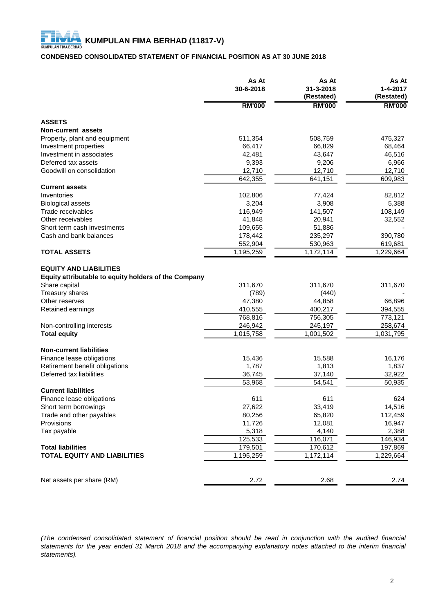## **CONDENSED CONSOLIDATED STATEMENT OF FINANCIAL POSITION AS AT 30 JUNE 2018**

|                                                                                                                           | As At<br>30-6-2018 | As At<br>31-3-2018<br>(Restated) | As At<br>$1 - 4 - 2017$<br>(Restated) |
|---------------------------------------------------------------------------------------------------------------------------|--------------------|----------------------------------|---------------------------------------|
|                                                                                                                           | <b>RM'000</b>      | <b>RM'000</b>                    | <b>RM'000</b>                         |
| <b>ASSETS</b>                                                                                                             |                    |                                  |                                       |
| <b>Non-current assets</b>                                                                                                 |                    |                                  |                                       |
| Property, plant and equipment                                                                                             | 511,354            | 508,759                          | 475,327                               |
| Investment properties                                                                                                     | 66,417             | 66,829                           | 68,464                                |
| Investment in associates                                                                                                  | 42,481             | 43,647                           | 46,516                                |
| Deferred tax assets                                                                                                       | 9,393              | 9,206                            | 6,966                                 |
| Goodwill on consolidation                                                                                                 | 12,710             | 12,710                           | 12,710                                |
|                                                                                                                           | 642,355            | 641,151                          | 609,983                               |
| <b>Current assets</b>                                                                                                     |                    |                                  |                                       |
| Inventories                                                                                                               | 102,806            | 77,424                           | 82,812                                |
| <b>Biological assets</b>                                                                                                  | 3,204              | 3,908                            | 5,388                                 |
| Trade receivables                                                                                                         | 116,949            | 141,507                          | 108,149                               |
| Other receivables                                                                                                         | 41,848             | 20,941                           | 32,552                                |
| Short term cash investments                                                                                               | 109,655            | 51,886                           |                                       |
| Cash and bank balances                                                                                                    | 178,442            | 235,297                          | 390,780                               |
|                                                                                                                           | 552,904            | 530,963                          | 619,681                               |
| <b>TOTAL ASSETS</b>                                                                                                       | 1,195,259          | 1,172,114                        | 1,229,664                             |
| <b>EQUITY AND LIABILITIES</b><br>Equity attributable to equity holders of the Company<br>Share capital<br>Treasury shares | 311,670<br>(789)   | 311,670<br>(440)                 | 311,670                               |
| Other reserves                                                                                                            | 47,380             | 44,858                           | 66,896                                |
| Retained earnings                                                                                                         | 410,555            | 400,217                          | 394,555                               |
|                                                                                                                           | 768,816            | 756,305                          | 773,121                               |
| Non-controlling interests                                                                                                 | 246,942            | 245,197                          | 258,674                               |
| <b>Total equity</b>                                                                                                       | 1,015,758          | 1,001,502                        | 1,031,795                             |
|                                                                                                                           |                    |                                  |                                       |
| <b>Non-current liabilities</b>                                                                                            |                    |                                  |                                       |
| Finance lease obligations                                                                                                 | 15,436             | 15,588                           | 16,176                                |
| Retirement benefit obligations<br>Deferred tax liabilities                                                                | 1,787              | 1,813                            | 1,837<br>32,922                       |
|                                                                                                                           | 36,745<br>53,968   | 37,140<br>54,541                 | 50,935                                |
| <b>Current liabilities</b>                                                                                                |                    |                                  |                                       |
| Finance lease obligations                                                                                                 | 611                | 611                              | 624                                   |
| Short term borrowings                                                                                                     | 27,622             | 33,419                           | 14,516                                |
| Trade and other payables                                                                                                  | 80,256             | 65,820                           | 112,459                               |
| Provisions                                                                                                                | 11,726             | 12,081                           | 16,947                                |
| Tax payable                                                                                                               | 5,318              | 4,140                            | 2,388                                 |
|                                                                                                                           | 125,533            | 116,071                          | 146,934                               |
| <b>Total liabilities</b>                                                                                                  | 179,501            | 170,612                          | 197,869                               |
| <b>TOTAL EQUITY AND LIABILITIES</b>                                                                                       | 1,195,259          | 1,172,114                        | 1,229,664                             |
|                                                                                                                           |                    |                                  |                                       |
| Net assets per share (RM)                                                                                                 | 2.72               | 2.68                             | 2.74                                  |

(The condensed consolidated statement of financial position should be read in conjunction with the audited financial statements for the year ended 31 March 2018 and the accompanying explanatory notes attached to the interim financial *statements).*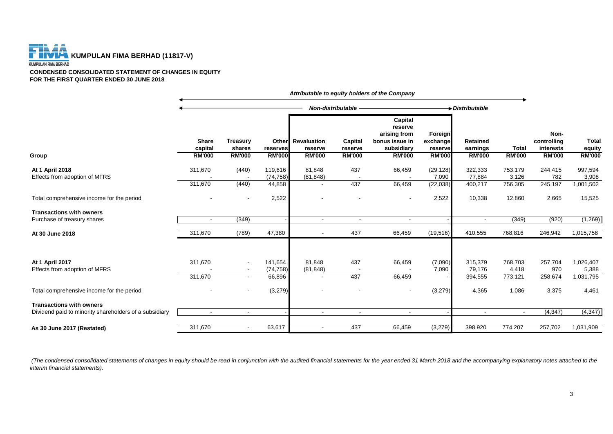

**CONDENSED CONSOLIDATED STATEMENT OF CHANGES IN EQUITY FOR THE FIRST QUARTER ENDED 30 JUNE 2018**

|                                                                                           |                                          |                                            |                           |                                                      | Non-distributable                   |                                                                                     |                                                 | $\rightarrow$ Distributable                  |                               |                                                   |                                         |
|-------------------------------------------------------------------------------------------|------------------------------------------|--------------------------------------------|---------------------------|------------------------------------------------------|-------------------------------------|-------------------------------------------------------------------------------------|-------------------------------------------------|----------------------------------------------|-------------------------------|---------------------------------------------------|-----------------------------------------|
| Group                                                                                     | <b>Share</b><br>capital<br><b>RM'000</b> | <b>Treasury</b><br>shares<br><b>RM'000</b> | reserves<br><b>RM'000</b> | <b>Other</b> Revaluation<br>reserve<br><b>RM'000</b> | Capital<br>reserve<br><b>RM'000</b> | Capital<br>reserve<br>arising from<br>bonus issue in<br>subsidiary<br><b>RM'000</b> | Foreign<br>exchange<br>reserve<br><b>RM'000</b> | <b>Retained</b><br>earnings<br><b>RM'000</b> | <b>Total</b><br><b>RM'000</b> | Non-<br>controlling<br>interests<br><b>RM'000</b> | <b>Total</b><br>equity<br><b>RM'000</b> |
|                                                                                           |                                          |                                            |                           |                                                      |                                     |                                                                                     |                                                 |                                              |                               |                                                   |                                         |
| At 1 April 2018<br>Effects from adoption of MFRS                                          | 311,670                                  | (440)                                      | 119,616<br>(74, 758)      | 81,848<br>(81, 848)                                  | 437                                 | 66,459                                                                              | (29, 128)<br>7,090                              | 322,333<br>77,884                            | 753,179<br>3,126              | 244,415<br>782                                    | 997,594<br>3,908                        |
|                                                                                           | 311,670                                  | (440)                                      | 44,858                    |                                                      | 437                                 | 66,459                                                                              | (22, 038)                                       | 400,217                                      | 756,305                       | 245,197                                           | 1,001,502                               |
| Total comprehensive income for the period                                                 |                                          |                                            | 2,522                     |                                                      |                                     |                                                                                     | 2,522                                           | 10,338                                       | 12,860                        | 2,665                                             | 15,525                                  |
| <b>Transactions with owners</b>                                                           |                                          |                                            |                           |                                                      |                                     |                                                                                     |                                                 |                                              |                               |                                                   |                                         |
| Purchase of treasury shares                                                               | $\sim$                                   | (349)                                      |                           | $\sim$                                               | $\sim$                              |                                                                                     |                                                 | $\sim$                                       | (349)                         | (920)                                             | (1,269)                                 |
| At 30 June 2018                                                                           | 311,670                                  | (789)                                      | 47,380                    | $\blacksquare$                                       | 437                                 | 66,459                                                                              | (19, 516)                                       | 410,555                                      | 768,816                       | 246,942                                           | 1,015,758                               |
|                                                                                           |                                          |                                            |                           |                                                      |                                     |                                                                                     |                                                 |                                              |                               |                                                   |                                         |
| At 1 April 2017<br>Effects from adoption of MFRS                                          | 311,670                                  | $\overline{\phantom{a}}$                   | 141,654<br>(74, 758)      | 81,848<br>(81, 848)                                  | 437                                 | 66,459                                                                              | (7,090)<br>7,090                                | 315,379<br>79,176                            | 768,703<br>4,418              | 257,704<br>970                                    | 1,026,407<br>5,388                      |
|                                                                                           | 311,670                                  | $\blacksquare$                             | 66,896                    |                                                      | 437                                 | 66,459                                                                              |                                                 | 394,555                                      | 773,121                       | 258,674                                           | 1,031,795                               |
| Total comprehensive income for the period                                                 |                                          |                                            | (3,279)                   |                                                      |                                     |                                                                                     | (3,279)                                         | 4,365                                        | 1,086                         | 3,375                                             | 4,461                                   |
| <b>Transactions with owners</b><br>Dividend paid to minority shareholders of a subsidiary | $\overline{\phantom{a}}$                 | $\overline{\phantom{a}}$                   |                           | $\blacksquare$                                       | $\sim$                              | $\blacksquare$                                                                      |                                                 | $\overline{\phantom{a}}$                     | $\blacksquare$                | (4, 347)                                          | (4, 347)                                |
|                                                                                           |                                          |                                            |                           |                                                      |                                     |                                                                                     |                                                 |                                              |                               |                                                   |                                         |
| As 30 June 2017 (Restated)                                                                | 311,670                                  | $\overline{\phantom{a}}$                   | 63,617                    | $\blacksquare$                                       | 437                                 | 66,459                                                                              | (3,279)                                         | 398,920                                      | 774,207                       | 257,702                                           | 1,031,909                               |

*Attributable to equity holders of the Company*

 *(The condensed consolidated statements of changes in equity should be read in conjunction with the audited financial statements for the year ended 31 March 2018 and the accompanying explanatory notes attached to the interim financial statements).*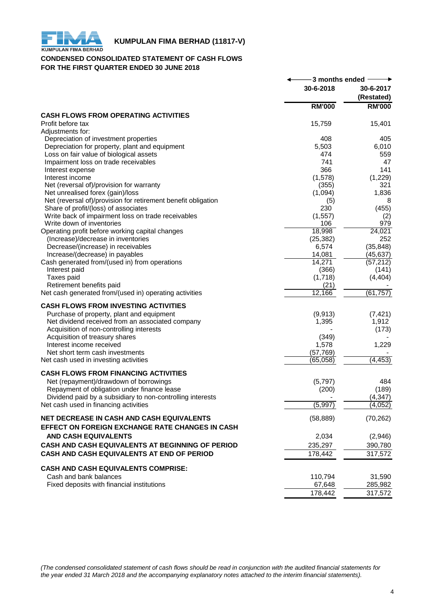

## **KUMPULAN FIMA BERHAD (11817-V)**<br>KUMPULAN FIMA BERHAD

## **CONDENSED CONSOLIDATED STATEMENT OF CASH FLOWS FOR THE FIRST QUARTER ENDED 30 JUNE 2018**

|                                                               | -3 months ended |                         |
|---------------------------------------------------------------|-----------------|-------------------------|
|                                                               | 30-6-2018       | 30-6-2017<br>(Restated) |
|                                                               | <b>RM'000</b>   | <b>RM'000</b>           |
| <b>CASH FLOWS FROM OPERATING ACTIVITIES</b>                   |                 |                         |
| Profit before tax                                             | 15,759          | 15,401                  |
| Adjustments for:                                              |                 |                         |
| Depreciation of investment properties                         | 408             | 405                     |
| Depreciation for property, plant and equipment                | 5,503           | 6,010                   |
| Loss on fair value of biological assets                       | 474             | 559                     |
| Impairment loss on trade receivables                          | 741             | 47                      |
| Interest expense                                              | 366             | 141                     |
| Interest income                                               | (1,578)         | (1,229)                 |
| Net (reversal of)/provision for warranty                      | (355)           | 321                     |
| Net unrealised forex (gain)/loss                              | (1,094)         | 1,836                   |
| Net (reversal of)/provision for retirement benefit obligation | (5)             | 8                       |
| Share of profit/(loss) of associates                          | 230             | (455)                   |
| Write back of impairment loss on trade receivables            | (1, 557)        | (2)                     |
| Write down of inventories                                     | 106             | 979                     |
| Operating profit before working capital changes               | 18,998          | 24,021                  |
| (Increase)/decrease in inventories                            | (25, 382)       | 252                     |
| Decrease/(increase) in receivables                            | 6,574           | (35, 848)               |
| Increase/(decrease) in payables                               | 14,081          | (45, 637)               |
| Cash generated from/(used in) from operations                 | 14,271          | (57, 212)               |
| Interest paid                                                 | (366)           | (141)                   |
| Taxes paid                                                    | (1,718)         | (4, 404)                |
| Retirement benefits paid                                      | (21)            |                         |
| Net cash generated from/(used in) operating activities        | 12,166          | (61, 757)               |
| <b>CASH FLOWS FROM INVESTING ACTIVITIES</b>                   |                 |                         |
| Purchase of property, plant and equipment                     | (9,913)         | (7, 421)                |
| Net dividend received from an associated company              | 1,395           | 1,912                   |
| Acquisition of non-controlling interests                      |                 | (173)                   |
| Acquisition of treasury shares                                | (349)           |                         |
| Interest income received                                      | 1,578           | 1,229                   |
| Net short term cash investments                               | (57, 769)       |                         |
| Net cash used in investing activities                         | (65,058)        | (4, 453)                |
|                                                               |                 |                         |
| <b>CASH FLOWS FROM FINANCING ACTIVITIES</b>                   |                 |                         |
| Net (repayment)/drawdown of borrowings                        | (5,797)         | 484                     |
| Repayment of obligation under finance lease                   | (200)           | (189)                   |
| Dividend paid by a subsidiary to non-controlling interests    |                 | (4, 347)                |
| Net cash used in financing activities                         | (5,997)         | (4,052)                 |
| NET DECREASE IN CASH AND CASH EQUIVALENTS                     | (58, 889)       | (70, 262)               |
| <b>EFFECT ON FOREIGN EXCHANGE RATE CHANGES IN CASH</b>        |                 |                         |
| <b>AND CASH EQUIVALENTS</b>                                   |                 |                         |
|                                                               | 2,034           | (2,946)                 |
| CASH AND CASH EQUIVALENTS AT BEGINNING OF PERIOD              | 235,297         | 390,780                 |
| CASH AND CASH EQUIVALENTS AT END OF PERIOD                    | 178,442         | 317,572                 |
| <b>CASH AND CASH EQUIVALENTS COMPRISE:</b>                    |                 |                         |
| Cash and bank balances                                        | 110,794         | 31,590                  |
| Fixed deposits with financial institutions                    | 67,648          | 285,982                 |
|                                                               | 178,442         | 317,572                 |
|                                                               |                 |                         |

*(The condensed consolidated statement of cash flows should be read in conjunction with the audited financial statements for the year ended 31 March 2018 and the accompanying explanatory notes attached to the interim financial statements).*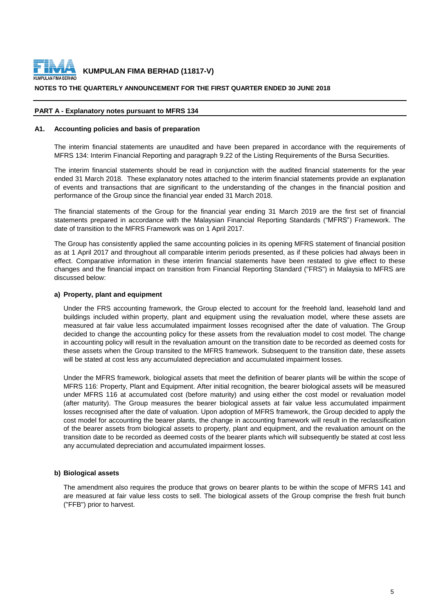

#### **NOTES TO THE QUARTERLY ANNOUNCEMENT FOR THE FIRST QUARTER ENDED 30 JUNE 2018**

#### **PART A - Explanatory notes pursuant to MFRS 134**

#### **A1. Accounting policies and basis of preparation**

The interim financial statements are unaudited and have been prepared in accordance with the requirements of MFRS 134: Interim Financial Reporting and paragraph 9.22 of the Listing Requirements of the Bursa Securities.

The interim financial statements should be read in conjunction with the audited financial statements for the year ended 31 March 2018. These explanatory notes attached to the interim financial statements provide an explanation of events and transactions that are significant to the understanding of the changes in the financial position and performance of the Group since the financial year ended 31 March 2018.

The financial statements of the Group for the financial year ending 31 March 2019 are the first set of financial statements prepared in accordance with the Malaysian Financial Reporting Standards ("MFRS") Framework. The date of transition to the MFRS Framework was on 1 April 2017.

The Group has consistently applied the same accounting policies in its opening MFRS statement of financial position as at 1 April 2017 and throughout all comparable interim periods presented, as if these policies had always been in effect. Comparative information in these interim financial statements have been restated to give effect to these changes and the financial impact on transition from Financial Reporting Standard ("FRS") in Malaysia to MFRS are discussed below:

#### **a) Property, plant and equipment**

Under the FRS accounting framework, the Group elected to account for the freehold land, leasehold land and buildings included within property, plant and equipment using the revaluation model, where these assets are measured at fair value less accumulated impairment losses recognised after the date of valuation. The Group decided to change the accounting policy for these assets from the revaluation model to cost model. The change in accounting policy will result in the revaluation amount on the transition date to be recorded as deemed costs for these assets when the Group transited to the MFRS framework. Subsequent to the transition date, these assets will be stated at cost less any accumulated depreciation and accumulated impairment losses.

Under the MFRS framework, biological assets that meet the definition of bearer plants will be within the scope of MFRS 116: Property, Plant and Equipment. After initial recognition, the bearer biological assets will be measured under MFRS 116 at accumulated cost (before maturity) and using either the cost model or revaluation model (after maturity). The Group measures the bearer biological assets at fair value less accumulated impairment losses recognised after the date of valuation. Upon adoption of MFRS framework, the Group decided to apply the cost model for accounting the bearer plants, the change in accounting framework will result in the reclassification of the bearer assets from biological assets to property, plant and equipment, and the revaluation amount on the transition date to be recorded as deemed costs of the bearer plants which will subsequently be stated at cost less any accumulated depreciation and accumulated impairment losses.

#### **b) Biological assets**

The amendment also requires the produce that grows on bearer plants to be within the scope of MFRS 141 and are measured at fair value less costs to sell. The biological assets of the Group comprise the fresh fruit bunch ("FFB") prior to harvest.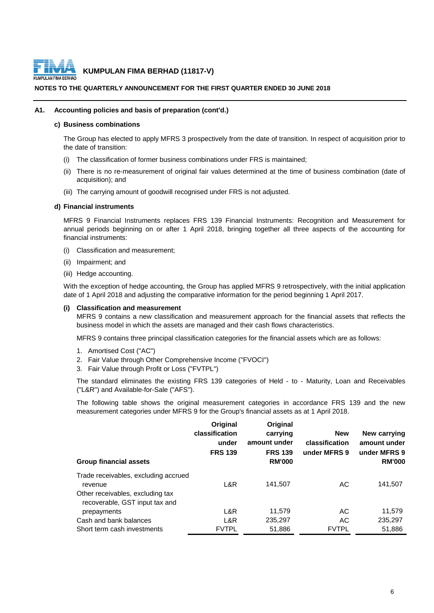

#### **NOTES TO THE QUARTERLY ANNOUNCEMENT FOR THE FIRST QUARTER ENDED 30 JUNE 2018**

#### **A1. Accounting policies and basis of preparation (cont'd.)**

#### **c) Business combinations**

The Group has elected to apply MFRS 3 prospectively from the date of transition. In respect of acquisition prior to the date of transition:

- (i) The classification of former business combinations under FRS is maintained;
- (ii) There is no re-measurement of original fair values determined at the time of business combination (date of acquisition); and
- (iii) The carrying amount of goodwill recognised under FRS is not adjusted.

#### **d) Financial instruments**

MFRS 9 Financial Instruments replaces FRS 139 Financial Instruments: Recognition and Measurement for annual periods beginning on or after 1 April 2018, bringing together all three aspects of the accounting for financial instruments:

- (i) Classification and measurement;
- (ii) Impairment; and
- (iii) Hedge accounting.

With the exception of hedge accounting, the Group has applied MFRS 9 retrospectively, with the initial application date of 1 April 2018 and adjusting the comparative information for the period beginning 1 April 2017.

#### **(i) Classification and measurement**

MFRS 9 contains a new classification and measurement approach for the financial assets that reflects the business model in which the assets are managed and their cash flows characteristics.

MFRS 9 contains three principal classification categories for the financial assets which are as follows:

- 1. Amortised Cost ("AC")
- 2. Fair Value through Other Comprehensive Income ("FVOCI")
- 3. Fair Value through Profit or Loss ("FVTPL")

The standard eliminates the existing FRS 139 categories of Held - to - Maturity, Loan and Receivables ("L&R") and Available-for-Sale ("AFS").

The following table shows the original measurement categories in accordance FRS 139 and the new measurement categories under MFRS 9 for the Group's financial assets as at 1 April 2018.

| <b>Group financial assets</b>                                                                                         | Original<br>classification<br>under<br><b>FRS 139</b> | Original<br>carrying<br>amount under<br><b>FRS 139</b><br><b>RM'000</b> | <b>New</b><br>classification<br>under MFRS 9 | New carrying<br>amount under<br>under MFRS 9<br><b>RM'000</b> |
|-----------------------------------------------------------------------------------------------------------------------|-------------------------------------------------------|-------------------------------------------------------------------------|----------------------------------------------|---------------------------------------------------------------|
| Trade receivables, excluding accrued<br>revenue<br>Other receivables, excluding tax<br>recoverable, GST input tax and | L&R                                                   | 141,507                                                                 | АC                                           | 141,507                                                       |
| prepayments                                                                                                           | L&R                                                   | 11,579                                                                  | AC                                           | 11,579                                                        |
| Cash and bank balances                                                                                                | L&R                                                   | 235.297                                                                 | AC                                           | 235,297                                                       |
| Short term cash investments                                                                                           | <b>FVTPL</b>                                          | 51,886                                                                  | <b>FVTPL</b>                                 | 51,886                                                        |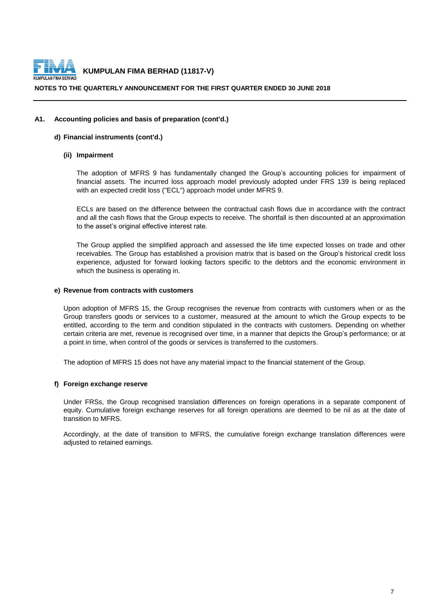

#### **NOTES TO THE QUARTERLY ANNOUNCEMENT FOR THE FIRST QUARTER ENDED 30 JUNE 2018**

#### **A1. Accounting policies and basis of preparation (cont'd.)**

#### **d) Financial instruments (cont'd.)**

#### **(ii) Impairment**

The adoption of MFRS 9 has fundamentally changed the Group's accounting policies for impairment of financial assets. The incurred loss approach model previously adopted under FRS 139 is being replaced with an expected credit loss ("ECL") approach model under MFRS 9.

ECLs are based on the difference between the contractual cash flows due in accordance with the contract and all the cash flows that the Group expects to receive. The shortfall is then discounted at an approximation to the asset's original effective interest rate.

The Group applied the simplified approach and assessed the life time expected losses on trade and other receivables. The Group has established a provision matrix that is based on the Group's historical credit loss experience, adjusted for forward looking factors specific to the debtors and the economic environment in which the business is operating in.

#### **e) Revenue from contracts with customers**

Upon adoption of MFRS 15, the Group recognises the revenue from contracts with customers when or as the Group transfers goods or services to a customer, measured at the amount to which the Group expects to be entitled, according to the term and condition stipulated in the contracts with customers. Depending on whether certain criteria are met, revenue is recognised over time, in a manner that depicts the Group's performance; or at a point in time, when control of the goods or services is transferred to the customers.

The adoption of MFRS 15 does not have any material impact to the financial statement of the Group.

#### **f) Foreign exchange reserve**

Under FRSs, the Group recognised translation differences on foreign operations in a separate component of equity. Cumulative foreign exchange reserves for all foreign operations are deemed to be nil as at the date of transition to MFRS.

Accordingly, at the date of transition to MFRS, the cumulative foreign exchange translation differences were adiusted to retained earnings.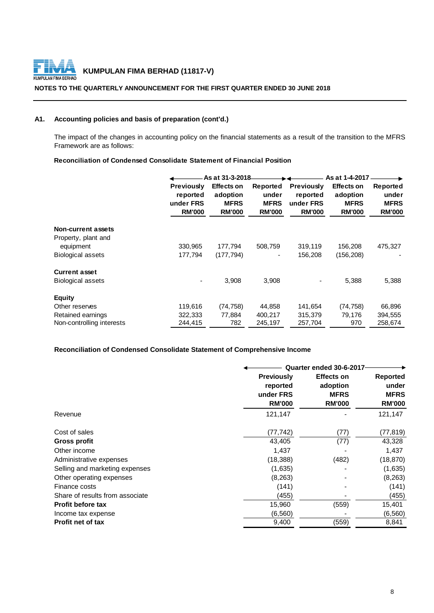

#### **NOTES TO THE QUARTERLY ANNOUNCEMENT FOR THE FIRST QUARTER ENDED 30 JUNE 2018**

## **A1. Accounting policies and basis of preparation (cont'd.)**

The impact of the changes in accounting policy on the financial statements as a result of the transition to the MFRS Framework are as follows:

#### **Reconciliation of Condensed Consolidate Statement of Financial Position**

|                           |                   | As at 31-3-2018   |               |                   | As at 1-4-2017    |               |
|---------------------------|-------------------|-------------------|---------------|-------------------|-------------------|---------------|
|                           | <b>Previously</b> | <b>Effects on</b> | Reported      | <b>Previously</b> | <b>Effects on</b> | Reported      |
|                           | reported          | adoption          | under         | reported          | adoption          | under         |
|                           | under FRS         | <b>MFRS</b>       | <b>MFRS</b>   | under FRS         | <b>MFRS</b>       | <b>MFRS</b>   |
|                           | <b>RM'000</b>     | <b>RM'000</b>     | <b>RM'000</b> | <b>RM'000</b>     | <b>RM'000</b>     | <b>RM'000</b> |
| <b>Non-current assets</b> |                   |                   |               |                   |                   |               |
| Property, plant and       |                   |                   |               |                   |                   |               |
| equipment                 | 330,965           | 177,794           | 508,759       | 319,119           | 156,208           | 475,327       |
| <b>Biological assets</b>  | 177,794           | (177, 794)        |               | 156,208           | (156, 208)        |               |
| <b>Current asset</b>      |                   |                   |               |                   |                   |               |
| Biological assets         |                   | 3,908             | 3,908         |                   | 5,388             | 5,388         |
| <b>Equity</b>             |                   |                   |               |                   |                   |               |
| Other reserves            | 119,616           | (74, 758)         | 44,858        | 141,654           | (74, 758)         | 66,896        |
| Retained earnings         | 322,333           | 77,884            | 400,217       | 315,379           | 79,176            | 394,555       |
| Non-controlling interests | 244,415           | 782               | 245,197       | 257,704           | 970               | 258,674       |

## **Reconciliation of Condensed Consolidate Statement of Comprehensive Income**

|                                 |                                                             | Quarter ended 30-6-2017                                       |                                                          |  |  |
|---------------------------------|-------------------------------------------------------------|---------------------------------------------------------------|----------------------------------------------------------|--|--|
|                                 | <b>Previously</b><br>reported<br>under FRS<br><b>RM'000</b> | <b>Effects on</b><br>adoption<br><b>MFRS</b><br><b>RM'000</b> | <b>Reported</b><br>under<br><b>MFRS</b><br><b>RM'000</b> |  |  |
| Revenue                         | 121,147                                                     |                                                               | 121,147                                                  |  |  |
| Cost of sales                   | (77, 742)                                                   | (77)                                                          | (77, 819)                                                |  |  |
| Gross profit                    | 43,405                                                      | (77)                                                          | 43,328                                                   |  |  |
| Other income                    | 1,437                                                       |                                                               | 1,437                                                    |  |  |
| Administrative expenses         | (18, 388)                                                   | (482)                                                         | (18, 870)                                                |  |  |
| Selling and marketing expenses  | (1,635)                                                     |                                                               | (1,635)                                                  |  |  |
| Other operating expenses        | (8,263)                                                     |                                                               | (8, 263)                                                 |  |  |
| Finance costs                   | (141)                                                       |                                                               | (141)                                                    |  |  |
| Share of results from associate | (455)                                                       |                                                               | (455)                                                    |  |  |
| <b>Profit before tax</b>        | 15,960                                                      | (559)                                                         | 15,401                                                   |  |  |
| Income tax expense              | (6, 560)                                                    |                                                               | (6, 560)                                                 |  |  |
| <b>Profit net of tax</b>        | 9,400                                                       | (559)                                                         | 8,841                                                    |  |  |
|                                 |                                                             |                                                               |                                                          |  |  |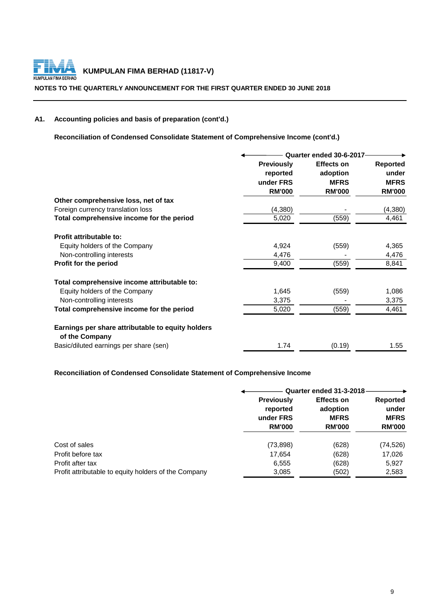

#### **NOTES TO THE QUARTERLY ANNOUNCEMENT FOR THE FIRST QUARTER ENDED 30 JUNE 2018**

## **A1. Accounting policies and basis of preparation (cont'd.)**

**Reconciliation of Condensed Consolidate Statement of Comprehensive Income (cont'd.)**

|                                                                     | Quarter ended 30-6-2017       |                               |                          |  |
|---------------------------------------------------------------------|-------------------------------|-------------------------------|--------------------------|--|
|                                                                     | <b>Previously</b><br>reported | <b>Effects on</b><br>adoption | <b>Reported</b><br>under |  |
|                                                                     | under FRS                     | <b>MFRS</b>                   | <b>MFRS</b>              |  |
|                                                                     | <b>RM'000</b>                 | <b>RM'000</b>                 | <b>RM'000</b>            |  |
| Other comprehensive loss, net of tax                                |                               |                               |                          |  |
| Foreign currency translation loss                                   | (4, 380)                      |                               | (4,380)                  |  |
| Total comprehensive income for the period                           | 5,020                         | (559)                         | 4,461                    |  |
| Profit attributable to:                                             |                               |                               |                          |  |
| Equity holders of the Company                                       | 4,924                         | (559)                         | 4,365                    |  |
| Non-controlling interests                                           | 4,476                         |                               | 4,476                    |  |
| Profit for the period                                               | 9,400                         | (559)                         | 8,841                    |  |
| Total comprehensive income attributable to:                         |                               |                               |                          |  |
| Equity holders of the Company                                       | 1,645                         | (559)                         | 1,086                    |  |
| Non-controlling interests                                           | 3,375                         |                               | 3,375                    |  |
| Total comprehensive income for the period                           | 5,020                         | (559)                         | 4,461                    |  |
| Earnings per share attributable to equity holders<br>of the Company |                               |                               |                          |  |
| Basic/diluted earnings per share (sen)                              | 1.74                          | (0.19)                        | 1.55                     |  |

## **Reconciliation of Condensed Consolidate Statement of Comprehensive Income**

|                                                      |                                                             | Quarter ended 31-3-2018                                       |                                                          |  |  |
|------------------------------------------------------|-------------------------------------------------------------|---------------------------------------------------------------|----------------------------------------------------------|--|--|
|                                                      | <b>Previously</b><br>reported<br>under FRS<br><b>RM'000</b> | <b>Effects on</b><br>adoption<br><b>MFRS</b><br><b>RM'000</b> | <b>Reported</b><br>under<br><b>MFRS</b><br><b>RM'000</b> |  |  |
| Cost of sales                                        | (73, 898)                                                   | (628)                                                         | (74, 526)                                                |  |  |
| Profit before tax                                    | 17,654                                                      | (628)                                                         | 17,026                                                   |  |  |
| Profit after tax                                     | 6,555                                                       | (628)                                                         | 5,927                                                    |  |  |
| Profit attributable to equity holders of the Company | 3,085                                                       | (502)                                                         | 2,583                                                    |  |  |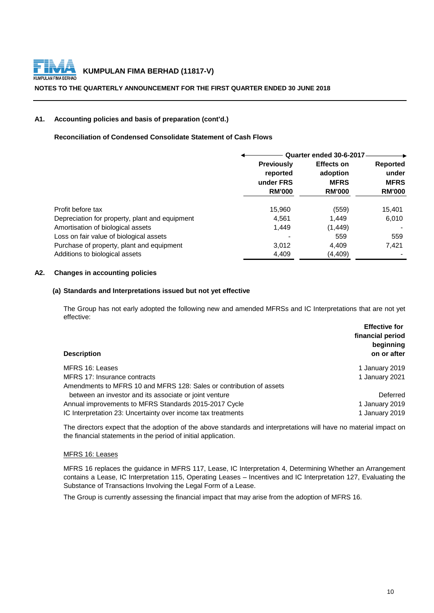

#### **NOTES TO THE QUARTERLY ANNOUNCEMENT FOR THE FIRST QUARTER ENDED 30 JUNE 2018**

#### **A1. Accounting policies and basis of preparation (cont'd.)**

**Reconciliation of Condensed Consolidate Statement of Cash Flows**

|                                                | Quarter ended 30-6-2017 |                   |                 |  |
|------------------------------------------------|-------------------------|-------------------|-----------------|--|
|                                                | <b>Previously</b>       | <b>Effects on</b> | <b>Reported</b> |  |
|                                                | reported                | adoption          | under           |  |
|                                                | under FRS               | <b>MFRS</b>       | <b>MFRS</b>     |  |
|                                                | <b>RM'000</b>           | <b>RM'000</b>     | <b>RM'000</b>   |  |
| Profit before tax                              | 15,960                  | (559)             | 15,401          |  |
| Depreciation for property, plant and equipment | 4,561                   | 1.449             | 6,010           |  |
| Amortisation of biological assets              | 1.449                   | (1, 449)          |                 |  |
| Loss on fair value of biological assets        |                         | 559               | 559             |  |
| Purchase of property, plant and equipment      | 3,012                   | 4,409             | 7,421           |  |
| Additions to biological assets                 | 4,409                   | (4, 409)          |                 |  |

## **A2. Changes in accounting policies**

#### **(a) Standards and Interpretations issued but not yet effective**

The Group has not early adopted the following new and amended MFRSs and IC Interpretations that are not yet effective:

| <b>Description</b>                                                  | <b>Effective for</b><br>financial period<br>beginning<br>on or after |
|---------------------------------------------------------------------|----------------------------------------------------------------------|
| MFRS 16: Leases                                                     | 1 January 2019                                                       |
| MFRS 17: Insurance contracts                                        | 1 January 2021                                                       |
| Amendments to MFRS 10 and MFRS 128: Sales or contribution of assets |                                                                      |
| between an investor and its associate or joint venture              | Deferred                                                             |
| Annual improvements to MFRS Standards 2015-2017 Cycle               | 1 January 2019                                                       |
| IC Interpretation 23: Uncertainty over income tax treatments        | 1 January 2019                                                       |

The directors expect that the adoption of the above standards and interpretations will have no material impact on the financial statements in the period of initial application.

#### MFRS 16: Leases

MFRS 16 replaces the guidance in MFRS 117, Lease, IC Interpretation 4, Determining Whether an Arrangement contains a Lease, IC Interpretation 115, Operating Leases – Incentives and IC Interpretation 127, Evaluating the Substance of Transactions Involving the Legal Form of a Lease.

The Group is currently assessing the financial impact that may arise from the adoption of MFRS 16.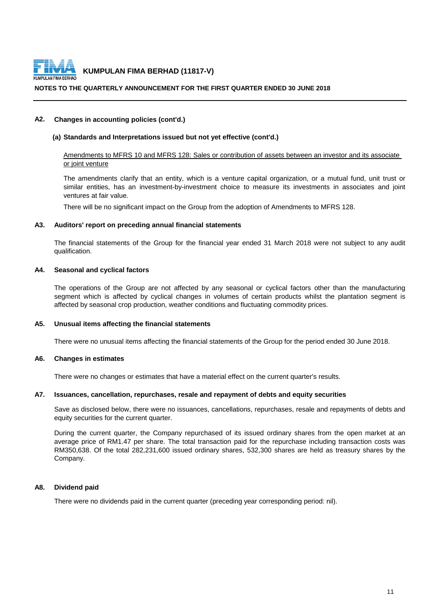

#### **NOTES TO THE QUARTERLY ANNOUNCEMENT FOR THE FIRST QUARTER ENDED 30 JUNE 2018**

#### **A2. Changes in accounting policies (cont'd.)**

#### **(a) Standards and Interpretations issued but not yet effective (cont'd.)**

#### Amendments to MFRS 10 and MFRS 128: Sales or contribution of assets between an investor and its associate or joint venture

The amendments clarify that an entity, which is a venture capital organization, or a mutual fund, unit trust or similar entities, has an investment-by-investment choice to measure its investments in associates and joint ventures at fair value.

There will be no significant impact on the Group from the adoption of Amendments to MFRS 128.

#### **A3. Auditors' report on preceding annual financial statements**

The financial statements of the Group for the financial year ended 31 March 2018 were not subject to any audit qualification.

#### **A4. Seasonal and cyclical factors**

The operations of the Group are not affected by any seasonal or cyclical factors other than the manufacturing segment which is affected by cyclical changes in volumes of certain products whilst the plantation segment is affected by seasonal crop production, weather conditions and fluctuating commodity prices.

#### **A5. Unusual items affecting the financial statements**

There were no unusual items affecting the financial statements of the Group for the period ended 30 June 2018.

#### **A6. Changes in estimates**

There were no changes or estimates that have a material effect on the current quarter's results.

#### **A7. Issuances, cancellation, repurchases, resale and repayment of debts and equity securities**

Save as disclosed below, there were no issuances, cancellations, repurchases, resale and repayments of debts and equity securities for the current quarter.

During the current quarter, the Company repurchased of its issued ordinary shares from the open market at an average price of RM1.47 per share. The total transaction paid for the repurchase including transaction costs was RM350,638. Of the total 282,231,600 issued ordinary shares, 532,300 shares are held as treasury shares by the Company.

#### **A8. Dividend paid**

There were no dividends paid in the current quarter (preceding year corresponding period: nil).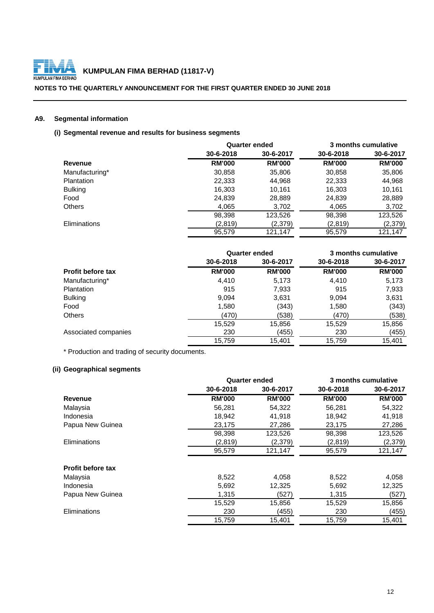

#### **NOTES TO THE QUARTERLY ANNOUNCEMENT FOR THE FIRST QUARTER ENDED 30 JUNE 2018**

## **A9. Segmental information**

## **(i) Segmental revenue and results for business segments**

|                     |               | <b>Quarter ended</b> |               | 3 months cumulative |
|---------------------|---------------|----------------------|---------------|---------------------|
|                     | 30-6-2018     | 30-6-2017            | 30-6-2018     | 30-6-2017           |
| Revenue             | <b>RM'000</b> | <b>RM'000</b>        | <b>RM'000</b> | <b>RM'000</b>       |
| Manufacturing*      | 30,858        | 35,806               | 30,858        | 35,806              |
| <b>Plantation</b>   | 22,333        | 44,968               | 22,333        | 44,968              |
| <b>Bulking</b>      | 16,303        | 10.161               | 16,303        | 10,161              |
| Food                | 24,839        | 28,889               | 24,839        | 28,889              |
| <b>Others</b>       | 4,065         | 3,702                | 4,065         | 3,702               |
|                     | 98,398        | 123,526              | 98,398        | 123,526             |
| <b>Eliminations</b> | (2,819)       | (2,379)              | (2,819)       | (2, 379)            |
|                     | 95,579        | 121,147              | 95,579        | 121,147             |

|                          | <b>Quarter ended</b> |               |               | 3 months cumulative |
|--------------------------|----------------------|---------------|---------------|---------------------|
|                          | 30-6-2018            | 30-6-2017     | 30-6-2018     | 30-6-2017           |
| <b>Profit before tax</b> | <b>RM'000</b>        | <b>RM'000</b> | <b>RM'000</b> | <b>RM'000</b>       |
| Manufacturing*           | 4,410                | 5,173         | 4,410         | 5,173               |
| Plantation               | 915                  | 7,933         | 915           | 7,933               |
| <b>Bulking</b>           | 9,094                | 3,631         | 9,094         | 3,631               |
| Food                     | 1,580                | (343)         | 1,580         | (343)               |
| <b>Others</b>            | (470)                | (538)         | (470)         | (538)               |
|                          | 15,529               | 15,856        | 15,529        | 15,856              |
| Associated companies     | 230                  | (455)         | 230           | (455)               |
|                          | 15,759               | 15,401        | 15,759        | 15,401              |

\* Production and trading of security documents.

## **(ii) Geographical segments**

|                     | <b>Quarter ended</b> |               |               | 3 months cumulative |
|---------------------|----------------------|---------------|---------------|---------------------|
|                     | 30-6-2018            | 30-6-2017     | 30-6-2018     | 30-6-2017           |
| Revenue             | <b>RM'000</b>        | <b>RM'000</b> | <b>RM'000</b> | <b>RM'000</b>       |
| Malaysia            | 56,281               | 54,322        | 56,281        | 54,322              |
| Indonesia           | 18.942               | 41,918        | 18,942        | 41,918              |
| Papua New Guinea    | 23,175               | 27,286        | 23,175        | 27,286              |
|                     | 98,398               | 123,526       | 98,398        | 123,526             |
| <b>Eliminations</b> | (2,819)              | (2,379)       | (2,819)       | (2, 379)            |
|                     | 95,579               | 121,147       | 95,579        | 121,147             |
| Profit before tax   |                      |               |               |                     |
| Malaysia            | 8,522                | 4,058         | 8,522         | 4,058               |
| Indonesia           | 5,692                | 12,325        | 5,692         | 12,325              |
| Papua New Guinea    | 1,315                | (527)         | 1,315         | (527)               |
|                     | 15,529               | 15,856        | 15,529        | 15,856              |
| Eliminations        | 230                  | (455)         | 230           | (455)               |
|                     | 15,759               | 15,401        | 15,759        | 15,401              |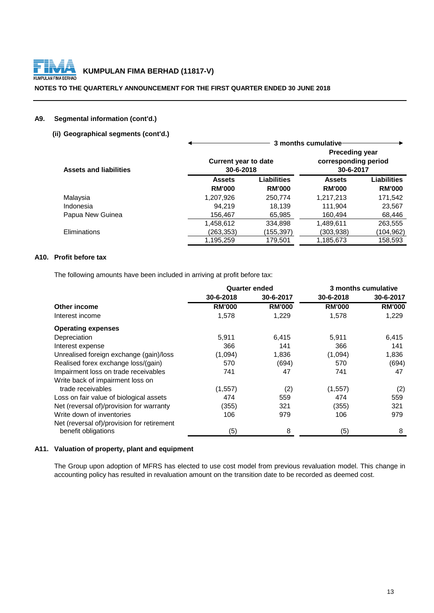

#### **NOTES TO THE QUARTERLY ANNOUNCEMENT FOR THE FIRST QUARTER ENDED 30 JUNE 2018**

## **A9. Segmental information (cont'd.)**

## **(ii) Geographical segments (cont'd.)**

| <b>Assets and liabilities</b> | <b>Current year to date</b><br>30-6-2018 |                              | <b>Preceding year</b><br>corresponding period<br>30-6-2017 |                              |
|-------------------------------|------------------------------------------|------------------------------|------------------------------------------------------------|------------------------------|
|                               | <b>Assets</b><br><b>RM'000</b>           | Liabilities<br><b>RM'000</b> | <b>Assets</b><br><b>RM'000</b>                             | Liabilities<br><b>RM'000</b> |
| Malaysia                      | 1,207,926                                | 250,774                      | 1,217,213                                                  | 171,542                      |
| Indonesia                     | 94.219                                   | 18.139                       | 111,904                                                    | 23,567                       |
| Papua New Guinea              | 156,467                                  | 65,985                       | 160,494                                                    | 68,446                       |
|                               | 1,458,612                                | 334,898                      | 1,489,611                                                  | 263,555                      |
| Eliminations                  | (263,353)                                | (155, 397)                   | (303,938)                                                  | (104,962)                    |
|                               | 1,195,259                                | 179,501                      | 1,185,673                                                  | 158,593                      |

## **A10. Profit before tax**

The following amounts have been included in arriving at profit before tax:

|                                            | <b>Quarter ended</b> |               |               | 3 months cumulative |  |
|--------------------------------------------|----------------------|---------------|---------------|---------------------|--|
|                                            | 30-6-2018            | 30-6-2017     | 30-6-2018     | 30-6-2017           |  |
| Other income                               | <b>RM'000</b>        | <b>RM'000</b> | <b>RM'000</b> | <b>RM'000</b>       |  |
| Interest income                            | 1,578                | 1,229         | 1,578         | 1,229               |  |
| <b>Operating expenses</b>                  |                      |               |               |                     |  |
| Depreciation                               | 5,911                | 6,415         | 5,911         | 6,415               |  |
| Interest expense                           | 366                  | 141           | 366           | 141                 |  |
| Unrealised foreign exchange (gain)/loss    | (1,094)              | 1,836         | (1,094)       | 1,836               |  |
| Realised forex exchange loss/(gain)        | 570                  | (694)         | 570           | (694)               |  |
| Impairment loss on trade receivables       | 741                  | 47            | 741           | 47                  |  |
| Write back of impairment loss on           |                      |               |               |                     |  |
| trade receivables                          | (1,557)              | (2)           | (1, 557)      | (2)                 |  |
| Loss on fair value of biological assets    | 474                  | 559           | 474           | 559                 |  |
| Net (reversal of)/provision for warranty   | (355)                | 321           | (355)         | 321                 |  |
| Write down of inventories                  | 106                  | 979           | 106           | 979                 |  |
| Net (reversal of)/provision for retirement |                      |               |               |                     |  |
| benefit obligations                        | (5)                  | 8             | (5)           | 8                   |  |

#### **A11. Valuation of property, plant and equipment**

The Group upon adoption of MFRS has elected to use cost model from previous revaluation model. This change in accounting policy has resulted in revaluation amount on the transition date to be recorded as deemed cost.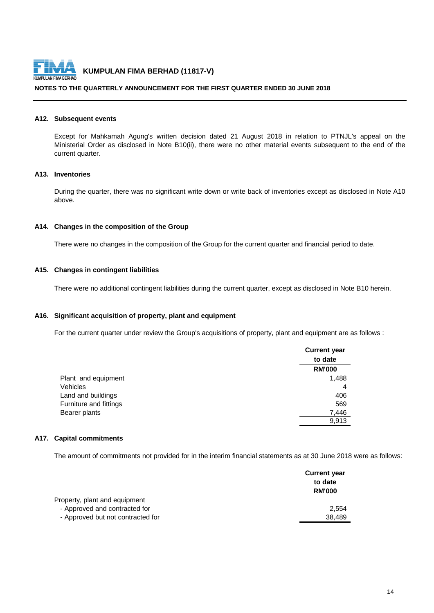

#### **NOTES TO THE QUARTERLY ANNOUNCEMENT FOR THE FIRST QUARTER ENDED 30 JUNE 2018**

#### **A12. Subsequent events**

Except for Mahkamah Agung's written decision dated 21 August 2018 in relation to PTNJL's appeal on the Ministerial Order as disclosed in Note B10(ii), there were no other material events subsequent to the end of the current quarter.

## **A13. Inventories**

During the quarter, there was no significant write down or write back of inventories except as disclosed in Note A10 above.

#### **A14. Changes in the composition of the Group**

There were no changes in the composition of the Group for the current quarter and financial period to date.

#### **A15. Changes in contingent liabilities**

There were no additional contingent liabilities during the current quarter, except as disclosed in Note B10 herein.

#### **A16. Significant acquisition of property, plant and equipment**

For the current quarter under review the Group's acquisitions of property, plant and equipment are as follows :

|                        | <b>Current year</b> |
|------------------------|---------------------|
|                        | to date             |
|                        | <b>RM'000</b>       |
| Plant and equipment    | 1,488               |
| <b>Vehicles</b>        | 4                   |
| Land and buildings     | 406                 |
| Furniture and fittings | 569                 |
| Bearer plants          | 7,446               |
|                        | 9.913               |

#### **A17. Capital commitments**

The amount of commitments not provided for in the interim financial statements as at 30 June 2018 were as follows:

|                                   | <b>Current year</b> |
|-----------------------------------|---------------------|
|                                   | to date             |
|                                   | <b>RM'000</b>       |
| Property, plant and equipment     |                     |
| - Approved and contracted for     | 2.554               |
| - Approved but not contracted for | 38.489              |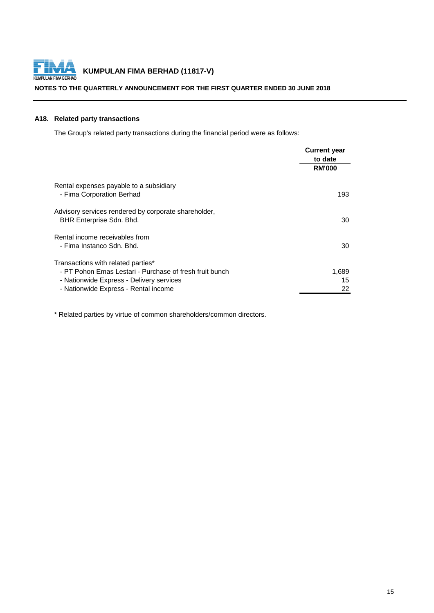

#### **NOTES TO THE QUARTERLY ANNOUNCEMENT FOR THE FIRST QUARTER ENDED 30 JUNE 2018**

## **A18. Related party transactions**

The Group's related party transactions during the financial period were as follows:

|                                                                                                                                                                                   | <b>Current year</b><br>to date |
|-----------------------------------------------------------------------------------------------------------------------------------------------------------------------------------|--------------------------------|
|                                                                                                                                                                                   | <b>RM'000</b>                  |
| Rental expenses payable to a subsidiary<br>- Fima Corporation Berhad                                                                                                              | 193                            |
| Advisory services rendered by corporate shareholder,<br>BHR Enterprise Sdn. Bhd.                                                                                                  | 30                             |
| Rental income receivables from<br>- Fima Instanco Sdn. Bhd.                                                                                                                       | 30                             |
| Transactions with related parties*<br>- PT Pohon Emas Lestari - Purchase of fresh fruit bunch<br>- Nationwide Express - Delivery services<br>- Nationwide Express - Rental income | 1,689<br>15<br>22              |

\* Related parties by virtue of common shareholders/common directors.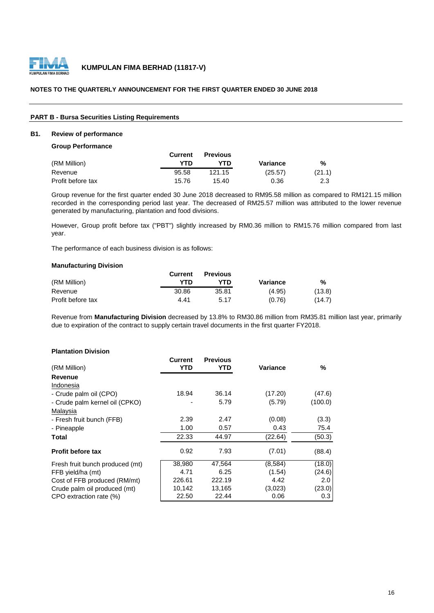

#### **NOTES TO THE QUARTERLY ANNOUNCEMENT FOR THE FIRST QUARTER ENDED 30 JUNE 2018**

#### **PART B - Bursa Securities Listing Requirements**

#### **B1. Review of performance**

#### **Group Performance**

|                   | <b>Current</b> | <b>Previous</b> |          |        |
|-------------------|----------------|-----------------|----------|--------|
| (RM Million)      | YTN            | YTD             | Variance | %      |
| Revenue           | 95.58          | 121.15          | (25.57)  | (21.1) |
| Profit before tax | 15.76          | 15.40           | 0.36     | 2.3    |

Group revenue for the first quarter ended 30 June 2018 decreased to RM95.58 million as compared to RM121.15 million recorded in the corresponding period last year. The decreased of RM25.57 million was attributed to the lower revenue generated by manufacturing, plantation and food divisions.

However, Group profit before tax ("PBT") slightly increased by RM0.36 million to RM15.76 million compared from last year.

The performance of each business division is as follows:

#### **Manufacturing Division**

|                   | Current | <b>Previous</b> |          |        |
|-------------------|---------|-----------------|----------|--------|
| (RM Million)      | YTD     | YTD             | Variance | %      |
| Revenue           | 30.86   | 35.81           | (4.95)   | (13.8) |
| Profit before tax | 4.41    | 5.17            | (0.76)   | (14.7) |

Revenue from **Manufacturing Division** decreased by 13.8% to RM30.86 million from RM35.81 million last year, primarily due to expiration of the contract to supply certain travel documents in the first quarter FY2018.

#### **Plantation Division**

|                                 | Current | <b>Previous</b> |          |         |
|---------------------------------|---------|-----------------|----------|---------|
| (RM Million)                    | YTD     | YTD             | Variance | %       |
| Revenue                         |         |                 |          |         |
| Indonesia                       |         |                 |          |         |
| - Crude palm oil (CPO)          | 18.94   | 36.14           | (17.20)  | (47.6)  |
| - Crude palm kernel oil (CPKO)  |         | 5.79            | (5.79)   | (100.0) |
| Malaysia                        |         |                 |          |         |
| - Fresh fruit bunch (FFB)       | 2.39    | 2.47            | (0.08)   | (3.3)   |
| - Pineapple                     | 1.00    | 0.57            | 0.43     | 75.4    |
| Total                           | 22.33   | 44.97           | (22.64)  | (50.3)  |
| <b>Profit before tax</b>        | 0.92    | 7.93            | (7.01)   | (88.4)  |
| Fresh fruit bunch produced (mt) | 38,980  | 47,564          | (8,584)  | (18.0)  |
| FFB yield/ha (mt)               | 4.71    | 6.25            | (1.54)   | (24.6)  |
| Cost of FFB produced (RM/mt)    | 226.61  | 222.19          | 4.42     | 2.0     |
| Crude palm oil produced (mt)    | 10,142  | 13,165          | (3,023)  | (23.0)  |
| CPO extraction rate (%)         | 22.50   | 22.44           | 0.06     | 0.3     |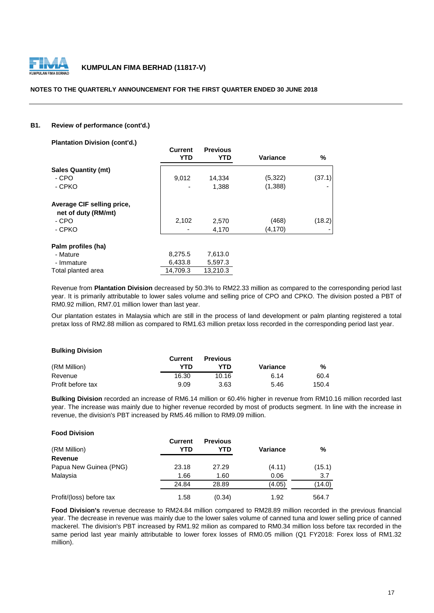

#### **NOTES TO THE QUARTERLY ANNOUNCEMENT FOR THE FIRST QUARTER ENDED 30 JUNE 2018**

#### **B1. Review of performance (cont'd.)**

**Plantation Division (cont'd.)**

|                            | <b>Current</b><br><b>YTD</b> | <b>Previous</b><br>YTD | Variance | %      |
|----------------------------|------------------------------|------------------------|----------|--------|
| <b>Sales Quantity (mt)</b> |                              |                        |          |        |
| - CPO                      | 9,012                        | 14,334                 | (5,322)  | (37.1) |
| - CPKO                     |                              | 1,388                  | (1,388)  |        |
| Average CIF selling price, |                              |                        |          |        |
| net of duty (RM/mt)        |                              |                        |          |        |
| - CPO                      | 2,102                        | 2,570                  | (468)    | (18.2) |
| - CPKO                     |                              | 4,170                  | (4, 170) |        |
| Palm profiles (ha)         |                              |                        |          |        |
| - Mature                   | 8,275.5                      | 7,613.0                |          |        |
| - Immature                 | 6,433.8                      | 5,597.3                |          |        |
| Total planted area         | 14.709.3                     | 13,210.3               |          |        |

Revenue from **Plantation Division** decreased by 50.3% to RM22.33 million as compared to the corresponding period last year. It is primarily attributable to lower sales volume and selling price of CPO and CPKO. The division posted a PBT of RM0.92 million, RM7.01 million lower than last year.

Our plantation estates in Malaysia which are still in the process of land development or palm planting registered a total pretax loss of RM2.88 million as compared to RM1.63 million pretax loss recorded in the corresponding period last year.

#### **Bulking Division**

|                   | <b>Current</b> | <b>Previous</b> |          |       |
|-------------------|----------------|-----------------|----------|-------|
| (RM Million)      | YTD            | YTN             | Variance | %     |
| Revenue           | 16.30          | 10.16           | 6.14     | 60.4  |
| Profit before tax | 9.09           | 3.63            | 5.46     | 150.4 |

**Bulking Division** recorded an increase of RM6.14 million or 60.4% higher in revenue from RM10.16 million recorded last year. The increase was mainly due to higher revenue recorded by most of products segment. In line with the increase in revenue, the division's PBT increased by RM5.46 million to RM9.09 million.

| <b>Food Division</b>     |                       |                        |          |        |
|--------------------------|-----------------------|------------------------|----------|--------|
| (RM Million)             | <b>Current</b><br>YTD | <b>Previous</b><br>YTD | Variance | %      |
| <b>Revenue</b>           |                       |                        |          |        |
| Papua New Guinea (PNG)   | 23.18                 | 27.29                  | (4.11)   | (15.1) |
| Malaysia                 | 1.66                  | 1.60                   | 0.06     | 3.7    |
|                          | 24.84                 | 28.89                  | (4.05)   | (14.0) |
| Profit/(loss) before tax | 1.58                  | (0.34)                 | 1.92     | 564.7  |

**Food Division's** revenue decrease to RM24.84 million compared to RM28.89 million recorded in the previous financial year. The decrease in revenue was mainly due to the lower sales volume of canned tuna and lower selling price of canned mackerel. The division's PBT increased by RM1.92 milion as compared to RM0.34 million loss before tax recorded in the same period last year mainly attributable to lower forex losses of RM0.05 million (Q1 FY2018: Forex loss of RM1.32 million).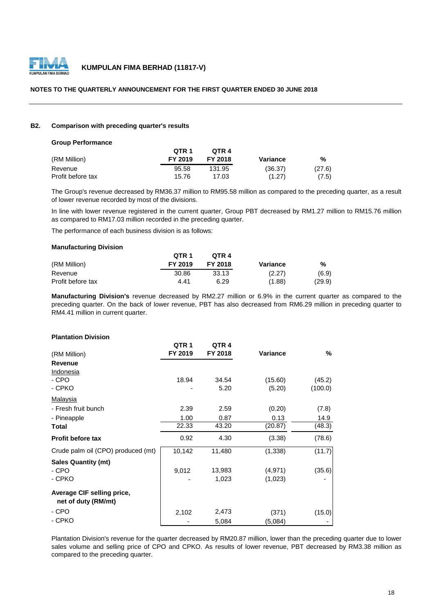

#### **NOTES TO THE QUARTERLY ANNOUNCEMENT FOR THE FIRST QUARTER ENDED 30 JUNE 2018**

#### **B2. Comparison with preceding quarter's results**

#### **Group Performance**

|                   | OTR <sub>1</sub> | OTR 4   |          |        |
|-------------------|------------------|---------|----------|--------|
| (RM Million)      | FY 2019          | FY 2018 | Variance | %      |
| Revenue           | 95.58            | 131.95  | (36.37)  | (27.6) |
| Profit before tax | 15.76            | 17.03   | (1.27)   | (7.5)  |

The Group's revenue decreased by RM36.37 million to RM95.58 million as compared to the preceding quarter, as a result of lower revenue recorded by most of the divisions.

In line with lower revenue registered in the current quarter, Group PBT decreased by RM1.27 million to RM15.76 million as compared to RM17.03 million recorded in the preceding quarter.

The performance of each business division is as follows:

#### **Manufacturing Division**

|                   | OTR <sub>1</sub> | OTR <sub>4</sub> |          |        |
|-------------------|------------------|------------------|----------|--------|
| (RM Million)      | FY 2019          | FY 2018          | Variance | %      |
| Revenue           | 30.86            | 33.13            | (2.27)   | (6.9)  |
| Profit before tax | 4.41             | 6.29             | (1.88)   | (29.9) |

**Manufacturing Division's** revenue decreased by RM2.27 million or 6.9% in the current quarter as compared to the preceding quarter. On the back of lower revenue, PBT has also decreased from RM6.29 million in preceding quarter to RM4.41 million in current quarter.

#### **QTR 1 QTR 4** (RM Million) **FY 2019 FY 2018 Variance % Revenue** Indonesia 18.94 34.54 (15.60) (45.2) - 5.20 (5.20) (100.0) Malaysia - Fresh fruit bunch 2.39 2.59 (0.20) (7.8) - Pineapple 1.00 0.87 0.13 14.9<br> **1.00** 0.87 0.13 14.9<br>
22.33 43.20 (20.87) (48.3) **Total** 22.33 43.20 (20.87) (48.3) **Profit before tax** 0.92 4.30 (3.38) (78.6) Crude palm oil (CPO) produced (mt) 10,142 11,480 (1,338) (11.7) 9,012 13,983 (4,971) (35.6) - 1,023 (1,023)  **net of duty (RM/mt)** 2,102 2,473 (371) (15.0) 5,084 (5,084) - CPKO **Sales Quantity (mt) Plantation Division** - CPKO **Average CIF selling price,** - CPKO - CPO - CPO - CPO

Plantation Division's revenue for the quarter decreased by RM20.87 million, lower than the preceding quarter due to lower sales volume and selling price of CPO and CPKO. As results of lower revenue, PBT decreased by RM3.38 million as compared to the preceding quarter.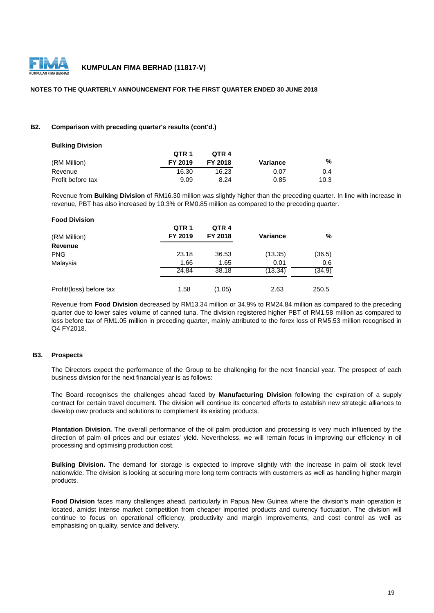

#### **NOTES TO THE QUARTERLY ANNOUNCEMENT FOR THE FIRST QUARTER ENDED 30 JUNE 2018**

#### **B2. Comparison with preceding quarter's results (cont'd.)**

| <b>Bulking Division</b> |                  |         |          |      |
|-------------------------|------------------|---------|----------|------|
|                         | OTR <sub>1</sub> | OTR 4   |          |      |
| (RM Million)            | FY 2019          | FY 2018 | Variance | %    |
| Revenue                 | 16.30            | 16.23   | 0.07     | 0.4  |
| Profit before tax       | 9.09             | 8.24    | 0.85     | 10.3 |

Revenue from **Bulking Division** of RM16.30 million was slightly higher than the preceding quarter. In line with increase in revenue, PBT has also increased by 10.3% or RM0.85 million as compared to the preceding quarter.

| <b>Food Division</b>     |                  |                  |                 |        |
|--------------------------|------------------|------------------|-----------------|--------|
|                          | QTR <sub>1</sub> | QTR <sub>4</sub> |                 |        |
| (RM Million)             | FY 2019          | FY 2018          | <b>Variance</b> | %      |
| Revenue                  |                  |                  |                 |        |
| <b>PNG</b>               | 23.18            | 36.53            | (13.35)         | (36.5) |
| Malaysia                 | 1.66             | 1.65             | 0.01            | 0.6    |
|                          | 24.84            | 38.18            | (13.34)         | (34.9) |
| Profit/(loss) before tax | 1.58             | (1.05)           | 2.63            | 250.5  |

Revenue from **Food Division** decreased by RM13.34 million or 34.9% to RM24.84 million as compared to the preceding quarter due to lower sales volume of canned tuna. The division registered higher PBT of RM1.58 million as compared to loss before tax of RM1.05 million in preceding quarter, mainly attributed to the forex loss of RM5.53 million recognised in Q4 FY2018.

#### **B3. Prospects**

The Directors expect the performance of the Group to be challenging for the next financial year. The prospect of each business division for the next financial year is as follows:

The Board recognises the challenges ahead faced by **Manufacturing Division** following the expiration of a supply contract for certain travel document. The division will continue its concerted efforts to establish new strategic alliances to develop new products and solutions to complement its existing products.

**Plantation Division.** The overall performance of the oil palm production and processing is very much influenced by the direction of palm oil prices and our estates' yield. Nevertheless, we will remain focus in improving our efficiency in oil processing and optimising production cost.

**Bulking Division.** The demand for storage is expected to improve slightly with the increase in palm oil stock level nationwide. The division is looking at securing more long term contracts with customers as well as handling higher margin products.

**Food Division** faces many challenges ahead, particularly in Papua New Guinea where the division's main operation is located, amidst intense market competition from cheaper imported products and currency fluctuation. The division will continue to focus on operational efficiency, productivity and margin improvements, and cost control as well as emphasising on quality, service and delivery.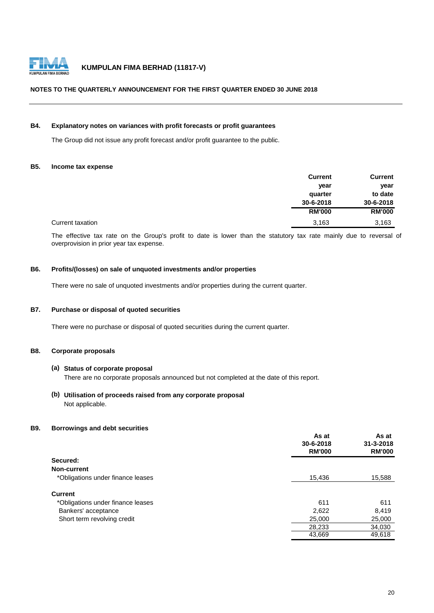

#### **NOTES TO THE QUARTERLY ANNOUNCEMENT FOR THE FIRST QUARTER ENDED 30 JUNE 2018**

#### **B4. Explanatory notes on variances with profit forecasts or profit guarantees**

The Group did not issue any profit forecast and/or profit guarantee to the public.

#### **B5. Income tax expense**

|                  | <b>Current</b> | <b>Current</b> |
|------------------|----------------|----------------|
|                  | year           | year           |
|                  | quarter        | to date        |
|                  | 30-6-2018      | 30-6-2018      |
|                  | <b>RM'000</b>  | <b>RM'000</b>  |
| Current taxation | 3,163          | 3,163          |

The effective tax rate on the Group's profit to date is lower than the statutory tax rate mainly due to reversal of overprovision in prior year tax expense.

#### **B6. Profits/(losses) on sale of unquoted investments and/or properties**

There were no sale of unquoted investments and/or properties during the current quarter.

#### **B7. Purchase or disposal of quoted securities**

There were no purchase or disposal of quoted securities during the current quarter.

#### **B8. Corporate proposals**

#### **(a) Status of corporate proposal**

There are no corporate proposals announced but not completed at the date of this report.

#### **(b) Utilisation of proceeds raised from any corporate proposal** Not applicable.

#### **B9. Borrowings and debt securities**

|                                   | As at<br>30-6-2018<br><b>RM'000</b> | As at<br>31-3-2018<br><b>RM'000</b> |
|-----------------------------------|-------------------------------------|-------------------------------------|
| Secured:                          |                                     |                                     |
| Non-current                       |                                     |                                     |
| *Obligations under finance leases | 15,436                              | 15,588                              |
| <b>Current</b>                    |                                     |                                     |
| *Obligations under finance leases | 611                                 | 611                                 |
| Bankers' acceptance               | 2,622                               | 8,419                               |
| Short term revolving credit       | 25,000                              | 25,000                              |
|                                   | 28,233                              | 34,030                              |
|                                   | 43,669                              | 49,618                              |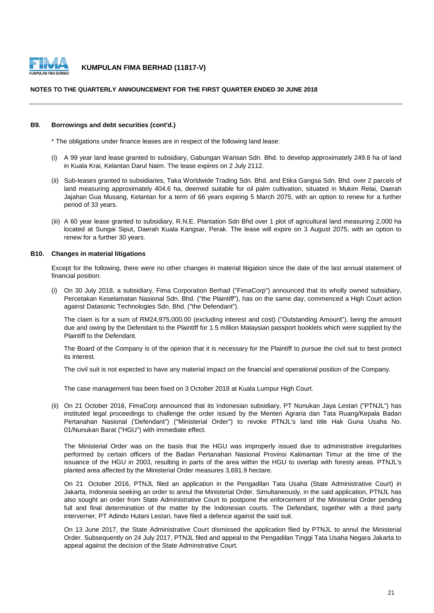

#### **NOTES TO THE QUARTERLY ANNOUNCEMENT FOR THE FIRST QUARTER ENDED 30 JUNE 2018**

#### **B9. Borrowings and debt securities (cont'd.)**

\* The obligations under finance leases are in respect of the following land lease:

- (i) A 99 year land lease granted to subsidiary, Gabungan Warisan Sdn. Bhd. to develop approximately 249.8 ha of land in Kuala Krai, Kelantan Darul Naim. The lease expires on 2 July 2112.
- (ii) Sub-leases granted to subsidiaries, Taka Worldwide Trading Sdn. Bhd. and Etika Gangsa Sdn. Bhd. over 2 parcels of land measuring approximately 404.6 ha, deemed suitable for oil palm cultivation, situated in Mukim Relai, Daerah Jajahan Gua Musang, Kelantan for a term of 66 years expiring 5 March 2075, with an option to renew for a further period of 33 years.
- (iii) A 60 year lease granted to subsidiary, R.N.E. Plantation Sdn Bhd over 1 plot of agricultural land measuring 2,000 ha located at Sungai Siput, Daerah Kuala Kangsar, Perak. The lease will expire on 3 August 2075, with an option to renew for a further 30 years.

#### **B10. Changes in material litigations**

Except for the following, there were no other changes in material litigation since the date of the last annual statement of financial position:

(i) On 30 July 2018, a subsidiary, Fima Corporation Berhad ("FimaCorp") announced that its wholly owned subsidiary, Percetakan Keselamatan Nasional Sdn. Bhd. ("the Plaintiff"), has on the same day, commenced a High Court action against Datasonic Technologies Sdn. Bhd. ("the Defendant").

The claim is for a sum of RM24,975,000.00 (excluding interest and cost) ("Outstanding Amount"), being the amount due and owing by the Defendant to the Plaintiff for 1.5 million Malaysian passport booklets which were supplied by the Plaintiff to the Defendant.

The Board of the Company is of the opinion that it is necessary for the Plaintiff to pursue the civil suit to best protect its interest.

The civil suit is not expected to have any material impact on the financial and operational position of the Company.

The case management has been fixed on 3 October 2018 at Kuala Lumpur High Court.

(ii) On 21 October 2016, FimaCorp announced that its Indonesian subsidiary, PT Nunukan Jaya Lestari ("PTNJL") has instituted legal proceedings to challenge the order issued by the Menteri Agraria dan Tata Ruang/Kepala Badan Pertanahan Nasional ('Defendant") ("Ministerial Order") to revoke PTNJL's land title Hak Guna Usaha No. 01/Nunukan Barat ("HGU") with immediate effect.

The Ministerial Order was on the basis that the HGU was improperly issued due to administrative irregularities performed by certain officers of the Badan Pertanahan Nasional Provinsi Kalimantan Timur at the time of the issuance of the HGU in 2003, resulting in parts of the area within the HGU to overlap with foresty areas. PTNJL's planted area affected by the Ministerial Order measures 3,691.9 hectare.

On 21 October 2016, PTNJL filed an application in the Pengadilan Tata Usaha (State Administrative Court) in Jakarta, Indonesia seeking an order to annul the Ministerial Order. Simultaneously, in the said application, PTNJL has also sought an order from State Administrative Court to postpone the enforcement of the Ministerial Order pending full and final determination of the matter by the Indonesian courts. The Defendant, together with a third party interverner, PT Adindo Hutani Lestari, have filed a defence against the said suit.

On 13 June 2017, the State Administrative Court dismissed the application filed by PTNJL to annul the Ministerial Order. Subsequently on 24 July 2017, PTNJL filed and appeal to the Pengadilan Tinggi Tata Usaha Negara Jakarta to appeal against the decision of the State Adminstrative Court.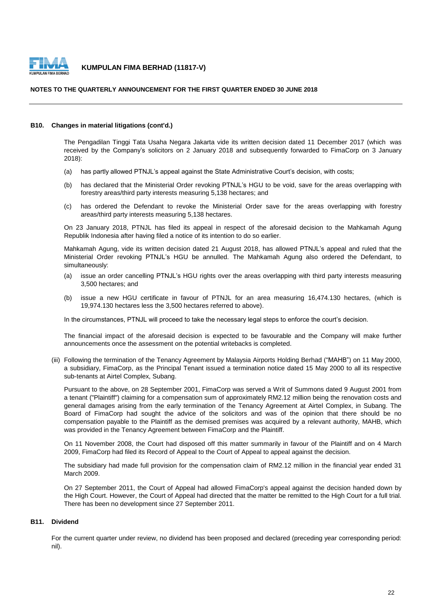

appeal against the decision of the State Adminstrative Court.

#### NOTES TO THE QUARTERLY ANNOUNCEMENT FOR THE FIRST QUARTER ENDED 30 JUNE 2018 INE WORNTENET ANNOUNCEMENT FON THE FINJT WORNTEN ENDED 30 JUNE 2016

#### **B10. Changes in material litigations (cont'd.)**

The Pengadilan Tinggi Tata Usaha Negara Jakarta vide its written decision dated 11 December 2017 (which was received by the Company's solicitors on 2 January 2018 and subsequently forwarded to FimaCorp on 3 January 2018):

- (a) has partly allowed PTNJL's appeal against the State Administrative Court's decision, with costs;
- (b) has declared that the Ministerial Order revoking PTNJL's HGU to be void, save for the areas overlapping with forestry areas/third party interests measuring 5,138 hectares; and
- (c) has ordered the Defendant to revoke the Ministerial Order save for the areas overlapping with forestry areas/third party interests measuring 5,138 hectares.

On 23 January 2018, PTNJL has filed its appeal in respect of the aforesaid decision to the Mahkamah Agung Republik Indonesia after having filed a notice of its intention to do so earlier.

Mahkamah Agung, vide its written decision dated 21 August 2018, has allowed PTNJL's appeal and ruled that the Ministerial Order revoking PTNJL's HGU be annulled. The Mahkamah Agung also ordered the Defendant, to simultaneously:

- (a) issue an order cancelling PTNJL's HGU rights over the areas overlapping with third party interests measuring 3,500 hectares; and
- (b) issue a new HGU certificate in favour of PTNJL for an area measuring 16,474.130 hectares, (which is 19,974.130 hectares less the 3,500 hectares referred to above).

In the circumstances, PTNJL will proceed to take the necessary legal steps to enforce the court's decision.

The financial impact of the aforesaid decision is expected to be favourable and the Company will make further announcements once the assessment on the potential writebacks is completed.

(iii) Following the termination of the Tenancy Agreement by Malaysia Airports Holding Berhad ("MAHB") on 11 May 2000, a subsidiary, FimaCorp, as the Principal Tenant issued a termination notice dated 15 May 2000 to all its respective sub-tenants at Airtel Complex, Subang.

Pursuant to the above, on 28 September 2001, FimaCorp was served a Writ of Summons dated 9 August 2001 from a tenant ("Plaintiff") claiming for a compensation sum of approximately RM2.12 million being the renovation costs and general damages arising from the early termination of the Tenancy Agreement at Airtel Complex, in Subang. The Board of FimaCorp had sought the advice of the solicitors and was of the opinion that there should be no compensation payable to the Plaintiff as the demised premises was acquired by a relevant authority, MAHB, which was provided in the Tenancy Agreement between FimaCorp and the Plaintiff.

On 11 November 2008, the Court had disposed off this matter summarily in favour of the Plaintiff and on 4 March 2009, FimaCorp had filed its Record of Appeal to the Court of Appeal to appeal against the decision.

The subsidiary had made full provision for the compensation claim of RM2.12 million in the financial year ended 31 March 2009.

On 27 September 2011, the Court of Appeal had allowed FimaCorp's appeal against the decision handed down by the High Court. However, the Court of Appeal had directed that the matter be remitted to the High Court for a full trial. There has been no development since 27 September 2011.

#### **B11. Dividend**

For the current quarter under review, no dividend has been proposed and declared (preceding year corresponding period: nil).